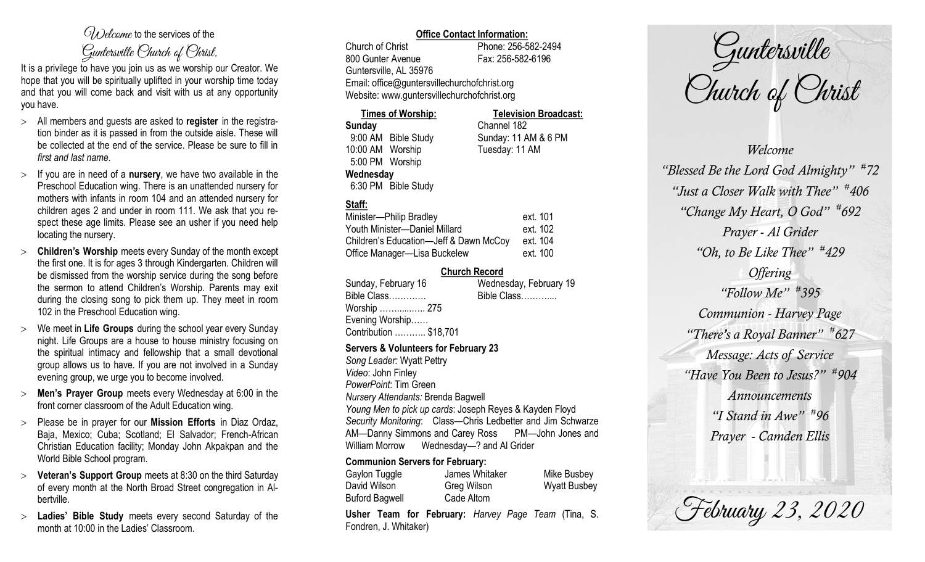# $\mathcal{O}_{\lambda}$  decame to the services of the Guntersville Church of Christ.

It is a privilege to have you join us as we worship our Creator. We hope that you will be spiritually uplifted in your worship time today and that you will come back and visit with us at any opportunity you have.

- All members and guests are asked to **register** in the registration binder as it is passed in from the outside aisle. These will be collected at the end of the service. Please be sure to fill in *first and last name*.
- $>$  If you are in need of a **nursery**, we have two available in the Preschool Education wing. There is an unattended nursery for mothers with infants in room 104 and an attended nursery for children ages 2 and under in room 111. We ask that you respect these age limits. Please see an usher if you need help locating the nursery.
- **Children's Worship** meets every Sunday of the month except the first one. It is for ages 3 through Kindergarten. Children will be dismissed from the worship service during the song before the sermon to attend Children's Worship. Parents may exit during the closing song to pick them up. They meet in room 102 in the Preschool Education wing.
- We meet in **Life Groups** during the school year every Sunday night. Life Groups are a house to house ministry focusing on the spiritual intimacy and fellowship that a small devotional group allows us to have. If you are not involved in a Sunday evening group, we urge you to become involved.
- **Men's Prayer Group** meets every Wednesday at 6:00 in the front corner classroom of the Adult Education wing.
- Please be in prayer for our **Mission Efforts** in Diaz Ordaz, Baja, Mexico; Cuba; Scotland; El Salvador; French-African Christian Education facility; Monday John Akpakpan and the World Bible School program.
- **Veteran's Support Group** meets at 8:30 on the third Saturday of every month at the North Broad Street congregation in Albertville.
- **Ladies' Bible Study** meets every second Saturday of the month at 10:00 in the Ladies' Classroom.

## **Office Contact Information:**

Church of Christ Phone: 256-582-2494 800 Gunter Avenue Fax: 256-582-6196 Guntersville, AL 35976 Email: office@guntersvillechurchofchrist.org Website: www.guntersvillechurchofchrist.org

| <b>Times of Worship:</b> |                     | <b>Television Broadcast:</b> |  |
|--------------------------|---------------------|------------------------------|--|
| <b>Sunday</b>            |                     | Channel 182                  |  |
| 9:00 AM Bible Study      |                     | Sunday: 11 AM & 6 PM         |  |
| 10:00 AM Worship         |                     | Tuesday: 11 AM               |  |
| 5:00 PM Worship          |                     |                              |  |
| Wednesday                |                     |                              |  |
|                          | 6:30 PM Bible Study |                              |  |

# **Staff:**

| Minister-Philip Bradley                | ext. 101 |
|----------------------------------------|----------|
| Youth Minister-Daniel Millard          | ext. 102 |
| Children's Education-Jeff & Dawn McCoy | ext. 104 |
| Office Manager-Lisa Buckelew           | ext. 100 |

### **Church Record**

| Sunday, February 16    | Wednesday, February 19 |
|------------------------|------------------------|
| Bible Class            | Bible Class            |
| Worship  275           |                        |
| Evening Worship        |                        |
| Contribution  \$18,701 |                        |
|                        |                        |

#### **Servers & Volunteers for February 23**

*Song Leader:* Wyatt Pettry *Video*: John Finley *PowerPoint*: Tim Green *Nursery Attendants:* Brenda Bagwell *Young Men to pick up cards*: Joseph Reyes & Kayden Floyd *Security Monitoring*: Class—Chris Ledbetter and Jim Schwarze AM—Danny Simmons and Carey Ross PM—John Jones and William Morrow Wednesday—? and Al Grider

#### **Communion Servers for February:**

| Gaylon Tuggle         | James Whitaker | Mike Busbey         |
|-----------------------|----------------|---------------------|
| David Wilson          | Greg Wilson    | <b>Wyatt Busbey</b> |
| <b>Buford Bagwell</b> | Cade Altom     |                     |
|                       |                | $\sim$              |

**Usher Team for February:** *Harvey Page Team* (Tina, S. Fondren, J. Whitaker)



*Welcome "Blessed Be the Lord God Almighty" # 72 "Just a Closer Walk with Thee" # 406 "Change My Heart, O God" # 692 Prayer - Al Grider "Oh, to Be Like Thee" # 429 Offering "Follow Me" # 395 Communion - Harvey Page "There's a Royal Banner" # 627 Message: Acts of Service "Have You Been to Jesus?" # 904 Announcements "I Stand in Awe" # 96 Prayer - Camden Ellis*

February 23, 2020